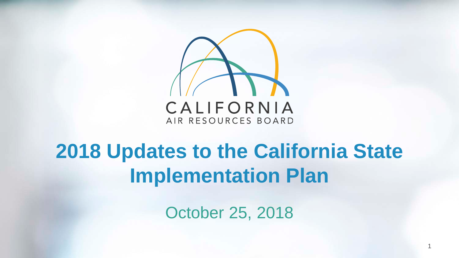

#### **2018 Updates to the California State Implementation Plan**

October 25, 2018

1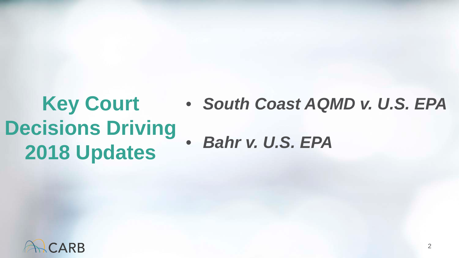#### **Key Court** • *South Coast AQMD v. U.S. EPA*  **Decisions Driving**  • *Bahr v. U.S. EPA* **2018 Updates**

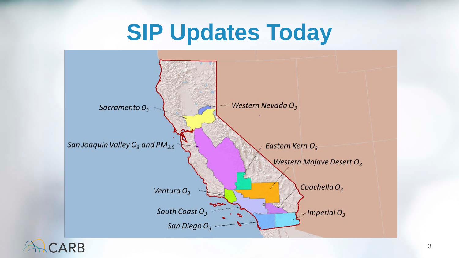### **SIP Updates Today**

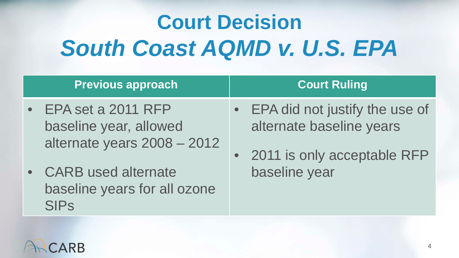# **Court Decision**  *South Coast AQMD v. U.S. EPA*

| <b>Previous approach</b>                                                    | <b>Court Ruling</b>                                                                           |
|-----------------------------------------------------------------------------|-----------------------------------------------------------------------------------------------|
| EPA set a 2011 RFP<br>baseline year, allowed<br>alternate years 2008 - 2012 | • EPA did not justify the use of<br>alternate baseline years<br>• 2011 is only acceptable RFP |
| • CARB used alternate<br>baseline years for all ozone<br><b>SIPs</b>        | baseline year                                                                                 |

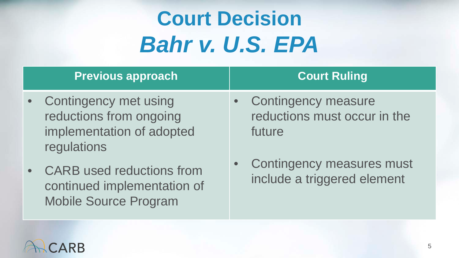## **Court Decision**  *Bahr v. U.S. EPA*

| <b>Previous approach</b>                                                                       | <b>Court Ruling</b>                                             |
|------------------------------------------------------------------------------------------------|-----------------------------------------------------------------|
| • Contingency met using<br>reductions from ongoing<br>implementation of adopted<br>regulations | • Contingency measure<br>reductions must occur in the<br>future |
| • CARB used reductions from<br>continued implementation of                                     | Contingency measures must<br>include a triggered element        |



Mobile Source Program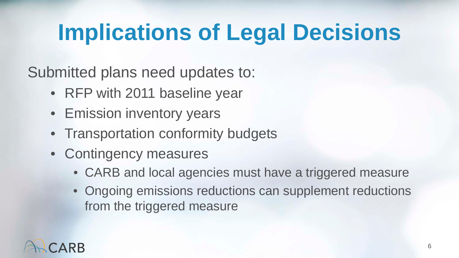# **Implications of Legal Decisions**

Submitted plans need updates to:

- RFP with 2011 baseline year
- Emission inventory years
- Transportation conformity budgets
- Contingency measures
	- CARB and local agencies must have a triggered measure
	- Ongoing emissions reductions can supplement reductions from the triggered measure

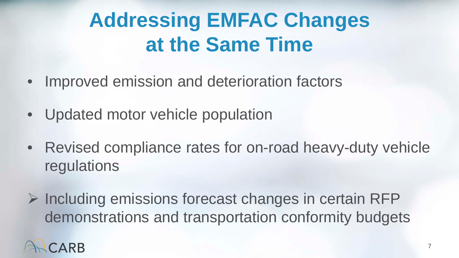#### **Addressing EMFAC Changes at the Same Time**

- Improved emission and deterioration factors
- Updated motor vehicle population
- • Revised compliance rates for on-road heavy-duty vehicle regulations
- $\triangleright$  Including emissions forecast changes in certain RFP demonstrations and transportation conformity budgets

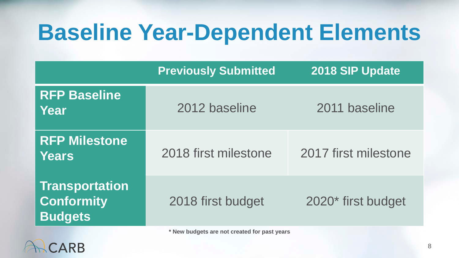### **Baseline Year-Dependent Elements**

|                                                              | <b>Previously Submitted</b>                  | 2018 SIP Update      |  |
|--------------------------------------------------------------|----------------------------------------------|----------------------|--|
| <b>RFP Baseline</b><br>Year                                  | 2012 baseline                                | 2011 baseline        |  |
| <b>RFP Milestone</b><br>Years                                | 2018 first milestone                         | 2017 first milestone |  |
| <b>Transportation</b><br><b>Conformity</b><br><b>Budgets</b> | 2018 first budget                            | 2020* first budget   |  |
|                                                              | * New budgets are not created for past years |                      |  |

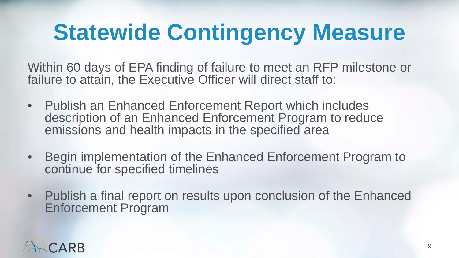# **Statewide Contingency Measure**

 Within 60 days of EPA finding of failure to meet an RFP milestone or failure to attain, the Executive Officer will direct staff to:

- • Publish an Enhanced Enforcement Report which includes description of an Enhanced Enforcement Program to reduce emissions and health impacts in the specified area
- Begin implementation of the Enhanced Enforcement Program to continue for specified timelines
- Publish a final report on results upon conclusion of the Enhanced Enforcement Program

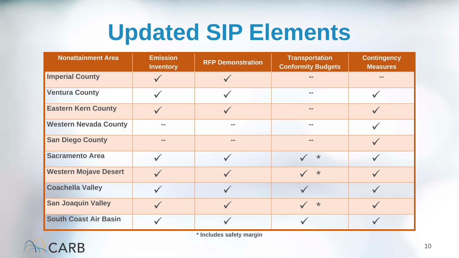### **Updated SIP Elements**

| <b>Nonattainment Area</b>    | <b>Emission</b><br><b>Inventory</b> | <b>RFP Demonstration</b> | <b>Transportation</b><br><b>Conformity Budgets</b> | <b>Contingency</b><br><b>Measures</b> |
|------------------------------|-------------------------------------|--------------------------|----------------------------------------------------|---------------------------------------|
| <b>Imperial County</b>       |                                     |                          |                                                    | $=$                                   |
| <b>Ventura County</b>        | $\checkmark$                        |                          |                                                    |                                       |
| <b>Eastern Kern County</b>   |                                     |                          |                                                    |                                       |
| <b>Western Nevada County</b> | --                                  | --                       | --                                                 |                                       |
| <b>San Diego County</b>      | --                                  | $= -$                    | --                                                 |                                       |
| <b>Sacramento Area</b>       | $\checkmark$                        |                          | $\ast$                                             |                                       |
| <b>Western Mojave Desert</b> |                                     |                          | $\star$                                            |                                       |
| <b>Coachella Valley</b>      |                                     |                          |                                                    |                                       |
| <b>San Joaquin Valley</b>    | $\checkmark$                        |                          | $\star$                                            |                                       |
| <b>South Coast Air Basin</b> |                                     |                          |                                                    |                                       |

**\* Includes safety margin**